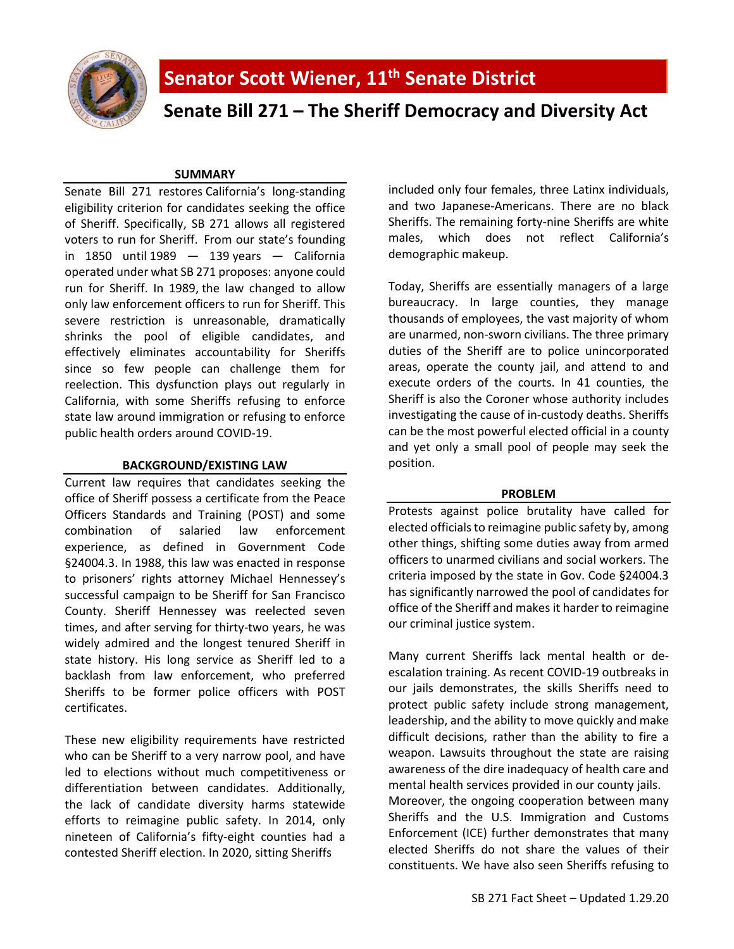

**Senate Bill 271 – The Sheriff Democracy and Diversity Act**

## **SUMMARY**

Senate Bill 271 restores California's long-standing eligibility criterion for candidates seeking the office of Sheriff. Specifically, SB 271 allows all registered voters to run for Sheriff. From our state's founding in  $1850$  until  $1989 - 139$  $1989 - 139$  years  $-$  California operated under what SB 271 proposes: anyone could run for Sheriff. In 1989, the law changed to allow only law enforcement officers to run for Sheriff. This severe restriction is unreasonable, dramatically shrinks the pool of eligible candidates, and effectively eliminates accountability for Sheriffs since so few people can challenge them for reelection. This dysfunction plays out regularly in California, with some Sheriffs refusing to enforce state law around immigration or refusing to enforce public health orders around COVID-19.

## **BACKGROUND/EXISTING LAW**

Current law requires that candidates seeking the office of Sheriff possess a certificate from the Peace Officers Standards and Training (POST) and some combination of salaried law enforcement experience, as defined in Government Code §24004.3. In 1988, this law was enacted in response to prisoners' rights attorney Michael Hennessey's successful campaign to be Sheriff for San Francisco County. Sheriff Hennessey was reelected seven times, and after serving for thirty-two years, he was widely admired and the longest tenured Sheriff in state history. His long service as Sheriff led to a backlash from law enforcement, who preferred Sheriffs to be former police officers with POST certificates.

These new eligibility requirements have restricted who can be Sheriff to a very narrow pool, and have led to elections without much competitiveness or differentiation between candidates. Additionally, the lack of candidate diversity harms statewide efforts to reimagine public safety. In 2014, only nineteen of California's fifty-eight counties had a contested Sheriff election. In 2020, sitting Sheriffs

included only four females, three Latinx individuals, and two Japanese-Americans. There are no black Sheriffs. The remaining forty-nine Sheriffs are white males, which does not reflect California's demographic makeup.

Today, Sheriffs are essentially managers of a large bureaucracy. In large counties, they manage thousands of employees, the vast majority of whom are unarmed, non-sworn civilians. The three primary duties of the Sheriff are to police unincorporated areas, operate the county jail, and attend to and execute orders of the courts. In 41 counties, the Sheriff is also the Coroner whose authority includes investigating the cause of in-custody deaths. Sheriffs can be the most powerful elected official in a county and yet only a small pool of people may seek the position.

# **PROBLEM**

Protests against police brutality have called for elected officials to reimagine public safety by, among other things, shifting some duties away from armed officers to unarmed civilians and social workers. The criteria imposed by the state in Gov. Code §24004.3 has significantly narrowed the pool of candidates for office of the Sheriff and makes it harder to reimagine our criminal justice system.

Many current Sheriffs lack mental health or deescalation training. As recent COVID-19 outbreaks in our jails demonstrates, the skills Sheriffs need to protect public safety include strong management, leadership, and the ability to move quickly and make difficult decisions, rather than the ability to fire a weapon. Lawsuits throughout the state are raising awareness of the dire inadequacy of health care and mental health services provided in our county jails. Moreover, the ongoing cooperation between many Sheriffs and the U.S. Immigration and Customs Enforcement (ICE) further demonstrates that many elected Sheriffs do not share the values of their constituents. We have also seen Sheriffs refusing to